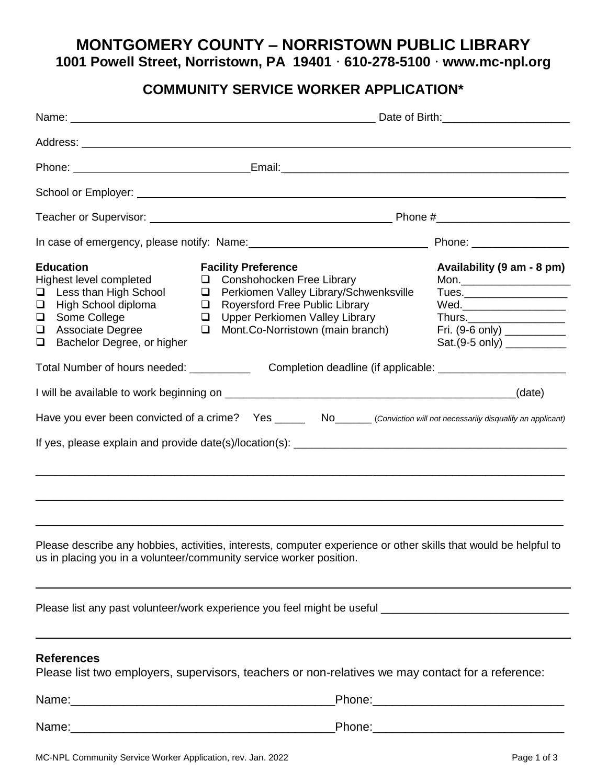**MONTGOMERY COUNTY – NORRISTOWN PUBLIC LIBRARY 1001 Powell Street, Norristown, PA 19401 ⸱ 610-278-5100 ⸱ www.mc-npl.org**

## **COMMUNITY SERVICE WORKER APPLICATION\***

|                                           |                                                                                                                                                               |                                      | Phone: <u>New York: Email:</u> Email: New York: New York: New York: New York: New York: New York: New York: New York: New York: New York: New York: New York: New York: New York: New York: New York: New York: New York: New York: |                                                                                                             |  |
|-------------------------------------------|---------------------------------------------------------------------------------------------------------------------------------------------------------------|--------------------------------------|-------------------------------------------------------------------------------------------------------------------------------------------------------------------------------------------------------------------------------------|-------------------------------------------------------------------------------------------------------------|--|
|                                           |                                                                                                                                                               |                                      |                                                                                                                                                                                                                                     |                                                                                                             |  |
|                                           |                                                                                                                                                               |                                      |                                                                                                                                                                                                                                     |                                                                                                             |  |
|                                           |                                                                                                                                                               |                                      |                                                                                                                                                                                                                                     |                                                                                                             |  |
| $\Box$<br>$\Box$<br>$\Box$<br>$\Box$<br>❏ | <b>Education</b><br>Highest level completed<br>Less than High School<br>High School diploma<br>Some College<br>Associate Degree<br>Bachelor Degree, or higher | $\Box$<br>$\Box$<br>$\Box$<br>$\Box$ | <b>Facility Preference</b><br>Conshohocken Free Library<br>Perkiomen Valley Library/Schwenksville<br><b>Royersford Free Public Library</b><br>Upper Perkiomen Valley Library<br>Mont.Co-Norristown (main branch)                    | Availability (9 am - 8 pm)<br>Wed.______________________<br>Fri. (9-6 only) ___________<br>$Sat.(9-5 only)$ |  |
|                                           | Total Number of hours needed: ___________                                                                                                                     |                                      |                                                                                                                                                                                                                                     |                                                                                                             |  |
|                                           |                                                                                                                                                               |                                      | Have you ever been convicted of a crime? Yes ______ No______ (Conviction will not necessarily disqualify an applicant)                                                                                                              |                                                                                                             |  |
|                                           |                                                                                                                                                               |                                      | <u> 1989 - Jan Samuel Barbara, margaret a shekara ta 1989 - An tsara tsara tsara tsara tsara tsara tsara tsara t</u>                                                                                                                |                                                                                                             |  |
|                                           |                                                                                                                                                               |                                      | Please describe any hobbies, activities, interests, computer experience or other skills that would be helpful to<br>us in placing you in a volunteer/community service worker position.                                             |                                                                                                             |  |
|                                           |                                                                                                                                                               |                                      |                                                                                                                                                                                                                                     |                                                                                                             |  |
|                                           | <b>References</b>                                                                                                                                             |                                      | Please list two employers, supervisors, teachers or non-relatives we may contact for a reference:                                                                                                                                   |                                                                                                             |  |
|                                           |                                                                                                                                                               |                                      |                                                                                                                                                                                                                                     |                                                                                                             |  |
|                                           |                                                                                                                                                               |                                      |                                                                                                                                                                                                                                     |                                                                                                             |  |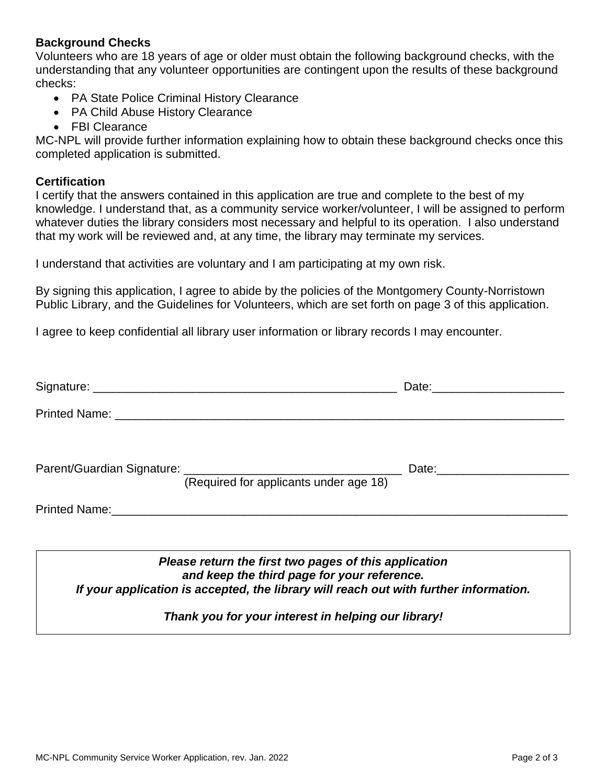### **Background Checks**

Volunteers who are 18 years of age or older must obtain the following background checks, with the understanding that any volunteer opportunities are contingent upon the results of these background checks:

- PA State Police Criminal History Clearance
- PA Child Abuse History Clearance
- FBI Clearance

MC-NPL will provide further information explaining how to obtain these background checks once this completed application is submitted.

#### **Certification**

I certify that the answers contained in this application are true and complete to the best of my knowledge. I understand that, as a community service worker/volunteer, I will be assigned to perform whatever duties the library considers most necessary and helpful to its operation. I also understand that my work will be reviewed and, at any time, the library may terminate my services.

I understand that activities are voluntary and I am participating at my own risk.

By signing this application, I agree to abide by the policies of the Montgomery County-Norristown Public Library, and the Guidelines for Volunteers, which are set forth on page 3 of this application.

I agree to keep confidential all library user information or library records I may encounter.

| (Required for applicants under age 18) | Date: _________________________ |
|----------------------------------------|---------------------------------|
|                                        |                                 |
|                                        |                                 |

*Please return the first two pages of this application and keep the third page for your reference. If your application is accepted, the library will reach out with further information.*

*Thank you for your interest in helping our library!*